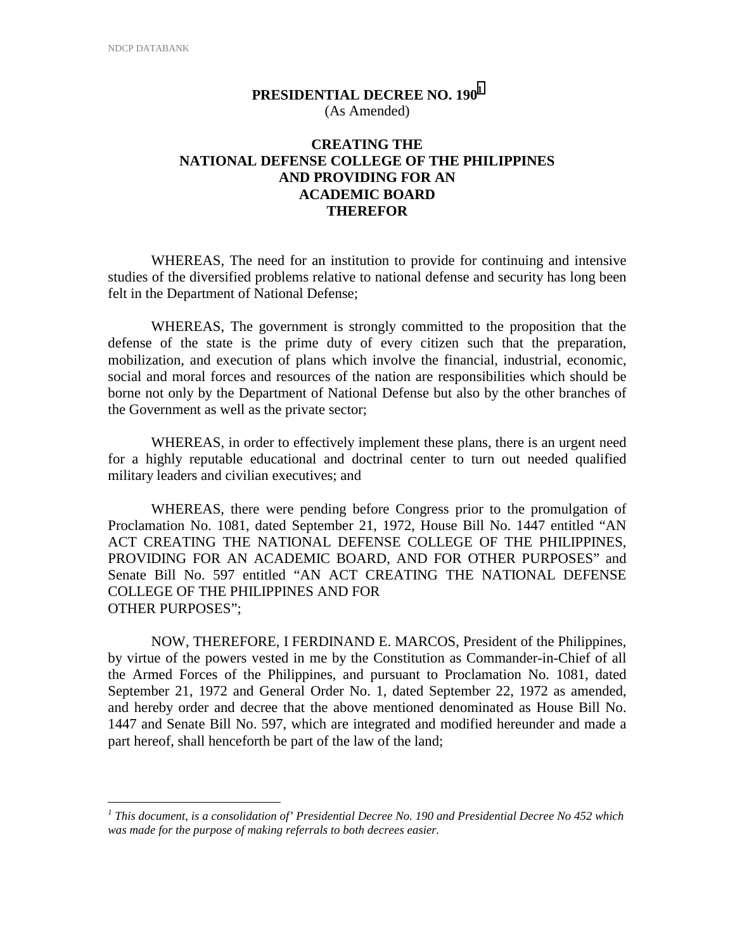1

## **PRESIDENTIAL DECREE NO. 190<sup>1</sup>** (As Amended)

## **CREATING THE NATIONAL DEFENSE COLLEGE OF THE PHILIPPINES AND PROVIDING FOR AN ACADEMIC BOARD THEREFOR**

WHEREAS, The need for an institution to provide for continuing and intensive studies of the diversified problems relative to national defense and security has long been felt in the Department of National Defense;

WHEREAS, The government is strongly committed to the proposition that the defense of the state is the prime duty of every citizen such that the preparation, mobilization, and execution of plans which involve the financial, industrial, economic, social and moral forces and resources of the nation are responsibilities which should be borne not only by the Department of National Defense but also by the other branches of the Government as well as the private sector;

WHEREAS, in order to effectively implement these plans, there is an urgent need for a highly reputable educational and doctrinal center to turn out needed qualified military leaders and civilian executives; and

WHEREAS, there were pending before Congress prior to the promulgation of Proclamation No. 1081, dated September 21, 1972, House Bill No. 1447 entitled "AN ACT CREATING THE NATIONAL DEFENSE COLLEGE OF THE PHILIPPINES, PROVIDING FOR AN ACADEMIC BOARD, AND FOR OTHER PURPOSES" and Senate Bill No. 597 entitled "AN ACT CREATING THE NATIONAL DEFENSE COLLEGE OF THE PHILIPPINES AND FOR OTHER PURPOSES";

NOW, THEREFORE, I FERDINAND E. MARCOS, President of the Philippines, by virtue of the powers vested in me by the Constitution as Commander-in-Chief of all the Armed Forces of the Philippines, and pursuant to Proclamation No. 1081, dated September 21, 1972 and General Order No. 1, dated September 22, 1972 as amended, and hereby order and decree that the above mentioned denominated as House Bill No. 1447 and Senate Bill No. 597, which are integrated and modified hereunder and made a part hereof, shall henceforth be part of the law of the land;

<sup>&</sup>lt;sup>1</sup> This document, is a consolidation of' Presidential Decree No. 190 and Presidential Decree No 452 which *was made for the purpose of making referrals to both decrees easier.*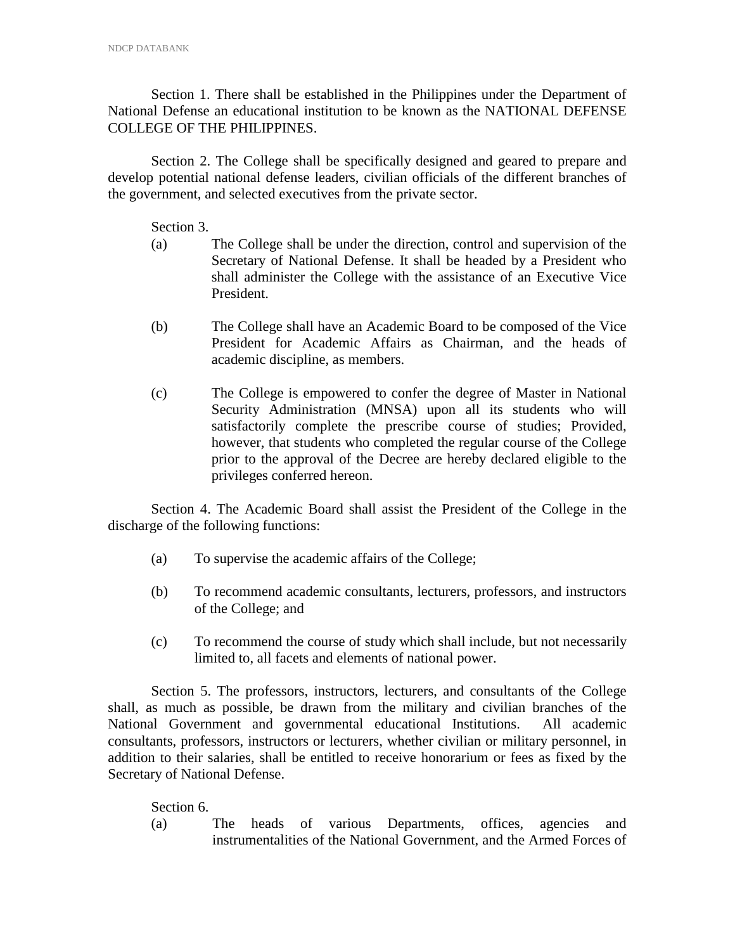Section 1. There shall be established in the Philippines under the Department of National Defense an educational institution to be known as the NATIONAL DEFENSE COLLEGE OF THE PHILIPPINES.

Section 2. The College shall be specifically designed and geared to prepare and develop potential national defense leaders, civilian officials of the different branches of the government, and selected executives from the private sector.

Section 3.

- (a) The College shall be under the direction, control and supervision of the Secretary of National Defense. It shall be headed by a President who shall administer the College with the assistance of an Executive Vice President.
- (b) The College shall have an Academic Board to be composed of the Vice President for Academic Affairs as Chairman, and the heads of academic discipline, as members.
- (c) The College is empowered to confer the degree of Master in National Security Administration (MNSA) upon all its students who will satisfactorily complete the prescribe course of studies; Provided, however, that students who completed the regular course of the College prior to the approval of the Decree are hereby declared eligible to the privileges conferred hereon.

Section 4. The Academic Board shall assist the President of the College in the discharge of the following functions:

- (a) To supervise the academic affairs of the College;
- (b) To recommend academic consultants, lecturers, professors, and instructors of the College; and
- (c) To recommend the course of study which shall include, but not necessarily limited to, all facets and elements of national power.

Section 5. The professors, instructors, lecturers, and consultants of the College shall, as much as possible, be drawn from the military and civilian branches of the National Government and governmental educational Institutions. All academic consultants, professors, instructors or lecturers, whether civilian or military personnel, in addition to their salaries, shall be entitled to receive honorarium or fees as fixed by the Secretary of National Defense.

Section 6.

(a) The heads of various Departments, offices, agencies and instrumentalities of the National Government, and the Armed Forces of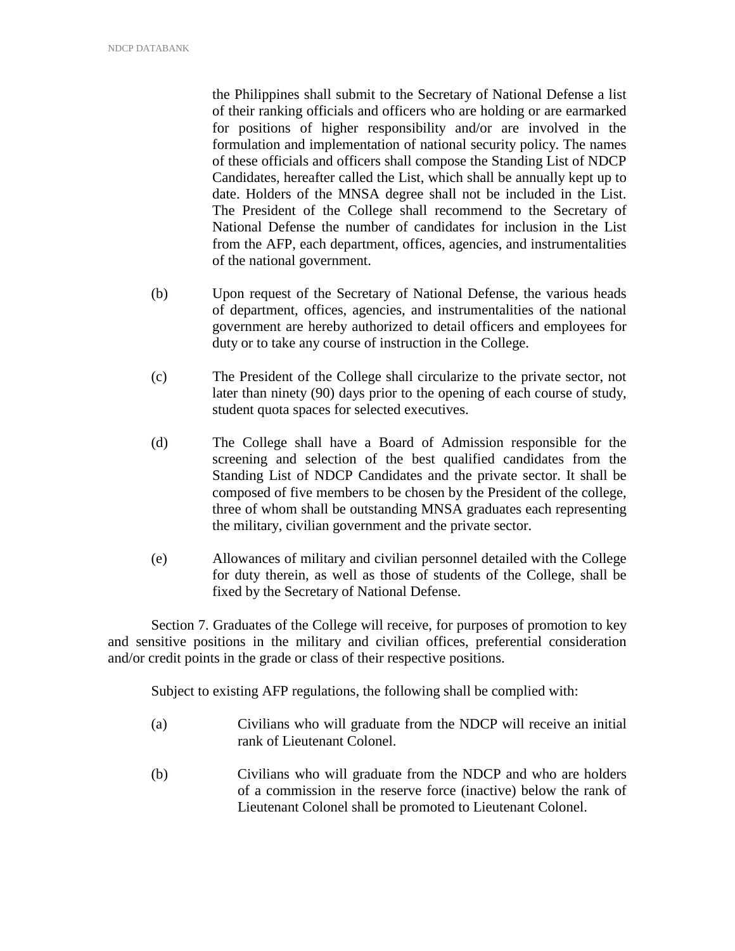the Philippines shall submit to the Secretary of National Defense a list of their ranking officials and officers who are holding or are earmarked for positions of higher responsibility and/or are involved in the formulation and implementation of national security policy. The names of these officials and officers shall compose the Standing List of NDCP Candidates, hereafter called the List, which shall be annually kept up to date. Holders of the MNSA degree shall not be included in the List. The President of the College shall recommend to the Secretary of National Defense the number of candidates for inclusion in the List from the AFP, each department, offices, agencies, and instrumentalities of the national government.

- (b) Upon request of the Secretary of National Defense, the various heads of department, offices, agencies, and instrumentalities of the national government are hereby authorized to detail officers and employees for duty or to take any course of instruction in the College.
- (c) The President of the College shall circularize to the private sector, not later than ninety (90) days prior to the opening of each course of study, student quota spaces for selected executives.
- (d) The College shall have a Board of Admission responsible for the screening and selection of the best qualified candidates from the Standing List of NDCP Candidates and the private sector. It shall be composed of five members to be chosen by the President of the college, three of whom shall be outstanding MNSA graduates each representing the military, civilian government and the private sector.
- (e) Allowances of military and civilian personnel detailed with the College for duty therein, as well as those of students of the College, shall be fixed by the Secretary of National Defense.

Section 7. Graduates of the College will receive, for purposes of promotion to key and sensitive positions in the military and civilian offices, preferential consideration and/or credit points in the grade or class of their respective positions.

Subject to existing AFP regulations, the following shall be complied with:

- (a) Civilians who will graduate from the NDCP will receive an initial rank of Lieutenant Colonel.
- (b) Civilians who will graduate from the NDCP and who are holders of a commission in the reserve force (inactive) below the rank of Lieutenant Colonel shall be promoted to Lieutenant Colonel.